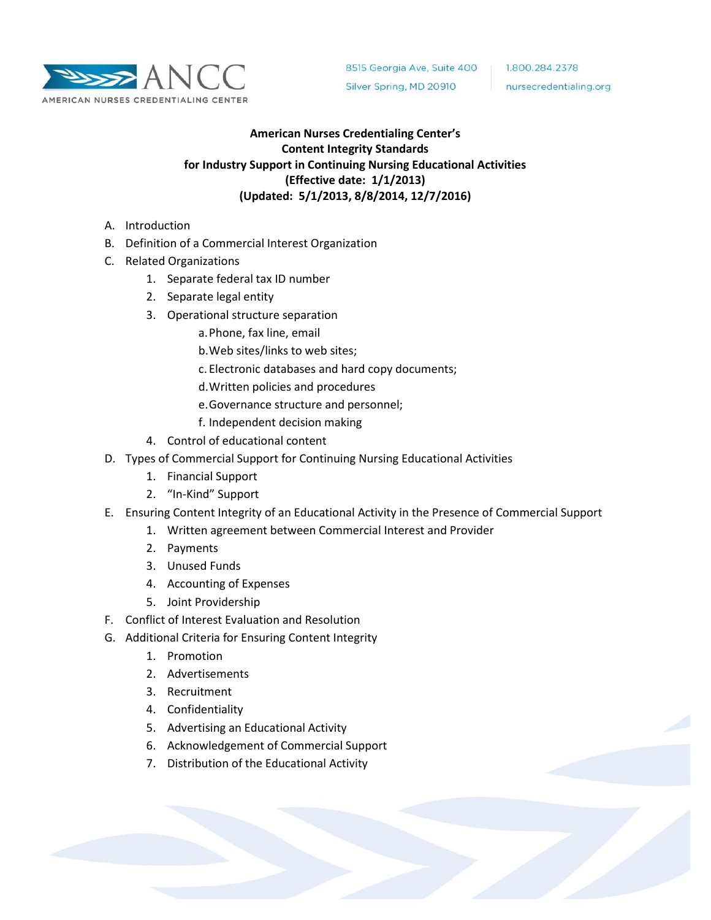

1.800.284.2378 nursecredentialing.org

# **American Nurses Credentialing Center's Content Integrity Standards for Industry Support in Continuing Nursing Educational Activities (Effective date: 1/1/2013) (Updated: 5/1/2013, 8/8/2014, 12/7/2016)**

- A. Introduction
- B. Definition of a Commercial Interest Organization
- C. Related Organizations
	- 1. Separate federal tax ID number
	- 2. Separate legal entity
	- 3. Operational structure separation
		- a.Phone, fax line, email
		- b.Web sites/links to web sites;
		- c. Electronic databases and hard copy documents;
		- d.Written policies and procedures
		- e.Governance structure and personnel;
		- f. Independent decision making
	- 4. Control of educational content
- D. Types of Commercial Support for Continuing Nursing Educational Activities
	- 1. Financial Support
	- 2. "In-Kind" Support
- E. Ensuring Content Integrity of an Educational Activity in the Presence of Commercial Support
	- 1. Written agreement between Commercial Interest and Provider
	- 2. Payments
	- 3. Unused Funds
	- 4. Accounting of Expenses
	- 5. Joint Providership
- F. Conflict of Interest Evaluation and Resolution
- G. Additional Criteria for Ensuring Content Integrity
	- 1. Promotion
	- 2. Advertisements
	- 3. Recruitment
	- 4. Confidentiality
	- 5. Advertising an Educational Activity
	- 6. Acknowledgement of Commercial Support
	- 7. Distribution of the Educational Activity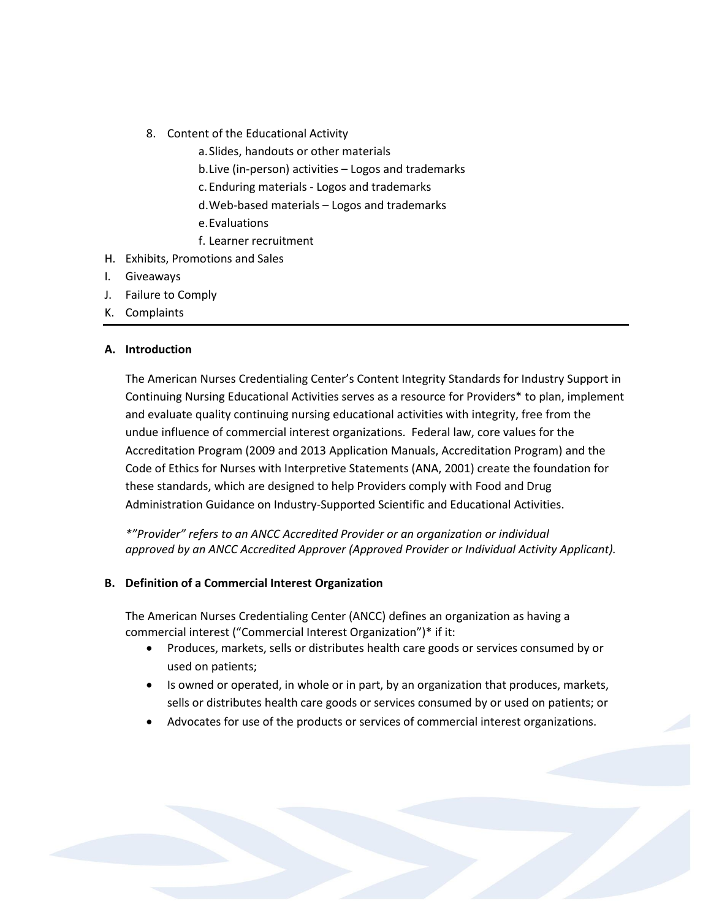- 8. Content of the Educational Activity
	- a.Slides, handouts or other materials
		- b.Live (in-person) activities Logos and trademarks
		- c. Enduring materials Logos and trademarks
	- d.Web-based materials Logos and trademarks
	- e.Evaluations
	- f. Learner recruitment
- H. Exhibits, Promotions and Sales
- I. Giveaways
- J. Failure to Comply
- K. Complaints

### **A. Introduction**

The American Nurses Credentialing Center's Content Integrity Standards for Industry Support in Continuing Nursing Educational Activities serves as a resource for Providers\* to plan, implement and evaluate quality continuing nursing educational activities with integrity, free from the undue influence of commercial interest organizations. Federal law, core values for the Accreditation Program (2009 and 2013 Application Manuals, Accreditation Program) and the Code of Ethics for Nurses with Interpretive Statements (ANA, 2001) create the foundation for these standards, which are designed to help Providers comply with Food and Drug Administration Guidance on Industry-Supported Scientific and Educational Activities.

*\*"Provider" refers to an ANCC Accredited Provider or an organization or individual approved by an ANCC Accredited Approver (Approved Provider or Individual Activity Applicant).* 

### **B. Definition of a Commercial Interest Organization**

The American Nurses Credentialing Center (ANCC) defines an organization as having a commercial interest ("Commercial Interest Organization")\* if it:

- Produces, markets, sells or distributes health care goods or services consumed by or used on patients;
- Is owned or operated, in whole or in part, by an organization that produces, markets, sells or distributes health care goods or services consumed by or used on patients; or
- Advocates for use of the products or services of commercial interest organizations.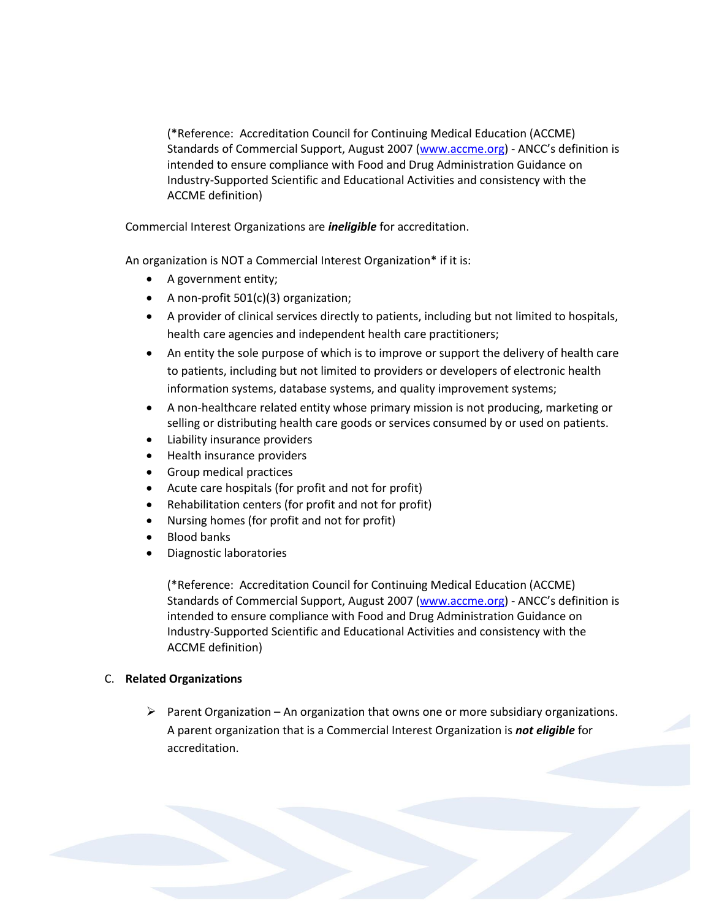(\*Reference: Accreditation Council for Continuing Medical Education (ACCME) Standards of Commercial Support, August 2007 [\(www.accme.org\)](http://www.accme.org/) - ANCC's definition is intended to ensure compliance with Food and Drug Administration Guidance on Industry-Supported Scientific and Educational Activities and consistency with the ACCME definition)

Commercial Interest Organizations are *ineligible* for accreditation.

An organization is NOT a Commercial Interest Organization\* if it is:

- A government entity;
- A non-profit 501(c)(3) organization;
- A provider of clinical services directly to patients, including but not limited to hospitals, health care agencies and independent health care practitioners;
- An entity the sole purpose of which is to improve or support the delivery of health care to patients, including but not limited to providers or developers of electronic health information systems, database systems, and quality improvement systems;
- A non-healthcare related entity whose primary mission is not producing, marketing or selling or distributing health care goods or services consumed by or used on patients.
- Liability insurance providers
- Health insurance providers
- **•** Group medical practices
- Acute care hospitals (for profit and not for profit)
- Rehabilitation centers (for profit and not for profit)
- Nursing homes (for profit and not for profit)
- Blood banks
- Diagnostic laboratories

(\*Reference: Accreditation Council for Continuing Medical Education (ACCME) Standards of Commercial Support, August 2007 [\(www.accme.org\)](http://www.accme.org/) - ANCC's definition is intended to ensure compliance with Food and Drug Administration Guidance on Industry-Supported Scientific and Educational Activities and consistency with the ACCME definition)

### C. **Related Organizations**

Parent Organization – An organization that owns one or more subsidiary organizations. A parent organization that is a Commercial Interest Organization is *not eligible* for accreditation.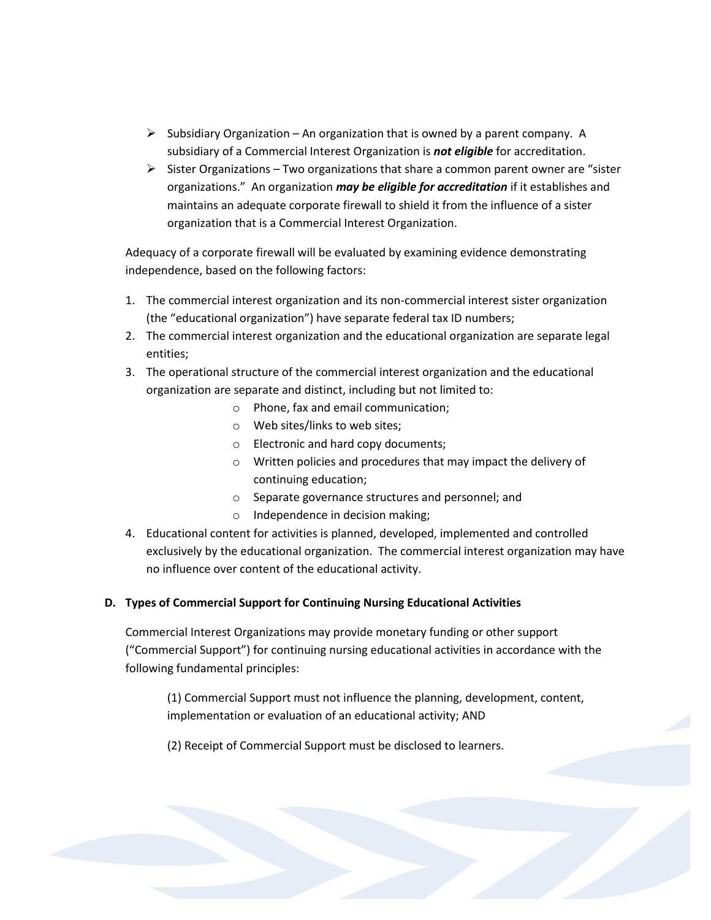- $\triangleright$  Subsidiary Organization An organization that is owned by a parent company. A subsidiary of a Commercial Interest Organization is *not eligible* for accreditation.
- $\triangleright$  Sister Organizations Two organizations that share a common parent owner are "sister organizations." An organization *may be eligible for accreditation* if it establishes and maintains an adequate corporate firewall to shield it from the influence of a sister organization that is a Commercial Interest Organization.

Adequacy of a corporate firewall will be evaluated by examining evidence demonstrating independence, based on the following factors:

- 1. The commercial interest organization and its non-commercial interest sister organization (the "educational organization") have separate federal tax ID numbers;
- 2. The commercial interest organization and the educational organization are separate legal entities;
- 3. The operational structure of the commercial interest organization and the educational organization are separate and distinct, including but not limited to:
	- o Phone, fax and email communication;
	- o Web sites/links to web sites;
	- o Electronic and hard copy documents;
	- o Written policies and procedures that may impact the delivery of continuing education;
	- o Separate governance structures and personnel; and
	- o Independence in decision making;
- 4. Educational content for activities is planned, developed, implemented and controlled exclusively by the educational organization. The commercial interest organization may have no influence over content of the educational activity.

## **D. Types of Commercial Support for Continuing Nursing Educational Activities**

Commercial Interest Organizations may provide monetary funding or other support ("Commercial Support") for continuing nursing educational activities in accordance with the following fundamental principles:

(1) Commercial Support must not influence the planning, development, content, implementation or evaluation of an educational activity; AND

(2) Receipt of Commercial Support must be disclosed to learners.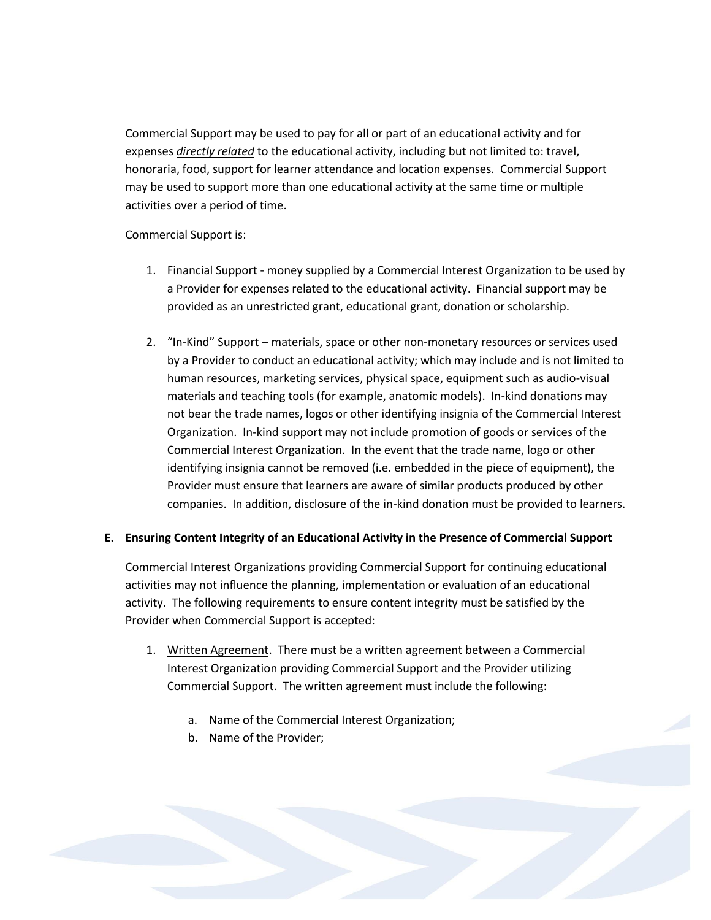Commercial Support may be used to pay for all or part of an educational activity and for expenses *directly related* to the educational activity, including but not limited to: travel, honoraria, food, support for learner attendance and location expenses. Commercial Support may be used to support more than one educational activity at the same time or multiple activities over a period of time.

Commercial Support is:

- 1. Financial Support money supplied by a Commercial Interest Organization to be used by a Provider for expenses related to the educational activity. Financial support may be provided as an unrestricted grant, educational grant, donation or scholarship.
- 2. "In-Kind" Support materials, space or other non-monetary resources or services used by a Provider to conduct an educational activity; which may include and is not limited to human resources, marketing services, physical space, equipment such as audio-visual materials and teaching tools (for example, anatomic models). In-kind donations may not bear the trade names, logos or other identifying insignia of the Commercial Interest Organization. In-kind support may not include promotion of goods or services of the Commercial Interest Organization. In the event that the trade name, logo or other identifying insignia cannot be removed (i.e. embedded in the piece of equipment), the Provider must ensure that learners are aware of similar products produced by other companies. In addition, disclosure of the in-kind donation must be provided to learners.

## **E. Ensuring Content Integrity of an Educational Activity in the Presence of Commercial Support**

Commercial Interest Organizations providing Commercial Support for continuing educational activities may not influence the planning, implementation or evaluation of an educational activity. The following requirements to ensure content integrity must be satisfied by the Provider when Commercial Support is accepted:

- 1. Written Agreement. There must be a written agreement between a Commercial Interest Organization providing Commercial Support and the Provider utilizing Commercial Support. The written agreement must include the following:
	- a. Name of the Commercial Interest Organization;
	- b. Name of the Provider;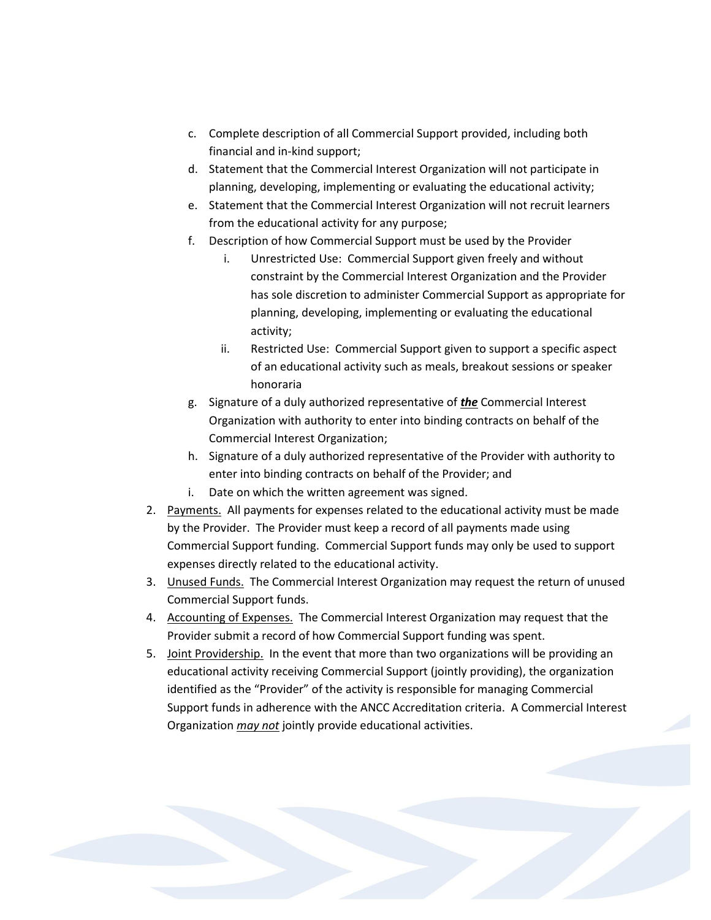- c. Complete description of all Commercial Support provided, including both financial and in-kind support;
- d. Statement that the Commercial Interest Organization will not participate in planning, developing, implementing or evaluating the educational activity;
- e. Statement that the Commercial Interest Organization will not recruit learners from the educational activity for any purpose;
- f. Description of how Commercial Support must be used by the Provider
	- i. Unrestricted Use: Commercial Support given freely and without constraint by the Commercial Interest Organization and the Provider has sole discretion to administer Commercial Support as appropriate for planning, developing, implementing or evaluating the educational activity;
	- ii. Restricted Use: Commercial Support given to support a specific aspect of an educational activity such as meals, breakout sessions or speaker honoraria
- g. Signature of a duly authorized representative of *the* Commercial Interest Organization with authority to enter into binding contracts on behalf of the Commercial Interest Organization;
- h. Signature of a duly authorized representative of the Provider with authority to enter into binding contracts on behalf of the Provider; and
- i. Date on which the written agreement was signed.
- 2. Payments. All payments for expenses related to the educational activity must be made by the Provider. The Provider must keep a record of all payments made using Commercial Support funding. Commercial Support funds may only be used to support expenses directly related to the educational activity.
- 3. Unused Funds. The Commercial Interest Organization may request the return of unused Commercial Support funds.
- 4. Accounting of Expenses. The Commercial Interest Organization may request that the Provider submit a record of how Commercial Support funding was spent.
- 5. Joint Providership. In the event that more than two organizations will be providing an educational activity receiving Commercial Support (jointly providing), the organization identified as the "Provider" of the activity is responsible for managing Commercial Support funds in adherence with the ANCC Accreditation criteria. A Commercial Interest Organization *may not* jointly provide educational activities.

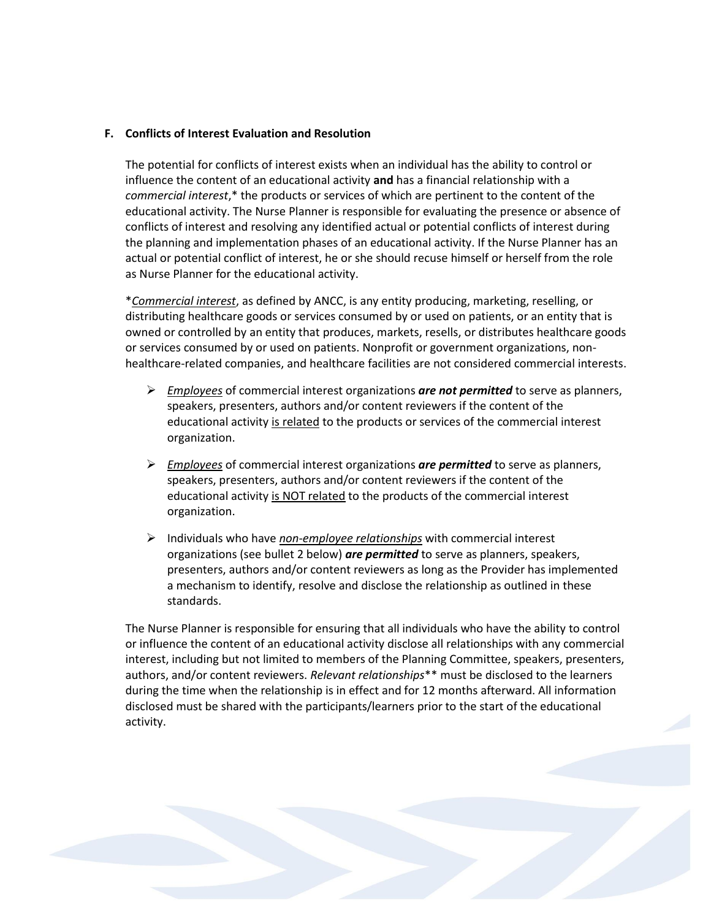#### **F. Conflicts of Interest Evaluation and Resolution**

The potential for conflicts of interest exists when an individual has the ability to control or influence the content of an educational activity **and** has a financial relationship with a *commercial interest*,\* the products or services of which are pertinent to the content of the educational activity. The Nurse Planner is responsible for evaluating the presence or absence of conflicts of interest and resolving any identified actual or potential conflicts of interest during the planning and implementation phases of an educational activity. If the Nurse Planner has an actual or potential conflict of interest, he or she should recuse himself or herself from the role as Nurse Planner for the educational activity.

\**Commercial interest*, as defined by ANCC, is any entity producing, marketing, reselling, or distributing healthcare goods or services consumed by or used on patients, or an entity that is owned or controlled by an entity that produces, markets, resells, or distributes healthcare goods or services consumed by or used on patients. Nonprofit or government organizations, nonhealthcare-related companies, and healthcare facilities are not considered commercial interests.

- *Employees* of commercial interest organizations *are not permitted* to serve as planners, speakers, presenters, authors and/or content reviewers if the content of the educational activity is related to the products or services of the commercial interest organization.
- *Employees* of commercial interest organizations *are permitted* to serve as planners, speakers, presenters, authors and/or content reviewers if the content of the educational activity is NOT related to the products of the commercial interest organization.
- Individuals who have *non-employee relationships* with commercial interest organizations (see bullet 2 below) *are permitted* to serve as planners, speakers, presenters, authors and/or content reviewers as long as the Provider has implemented a mechanism to identify, resolve and disclose the relationship as outlined in these standards.

The Nurse Planner is responsible for ensuring that all individuals who have the ability to control or influence the content of an educational activity disclose all relationships with any commercial interest, including but not limited to members of the Planning Committee, speakers, presenters, authors, and/or content reviewers. *Relevant relationships*\*\* must be disclosed to the learners during the time when the relationship is in effect and for 12 months afterward. All information disclosed must be shared with the participants/learners prior to the start of the educational activity.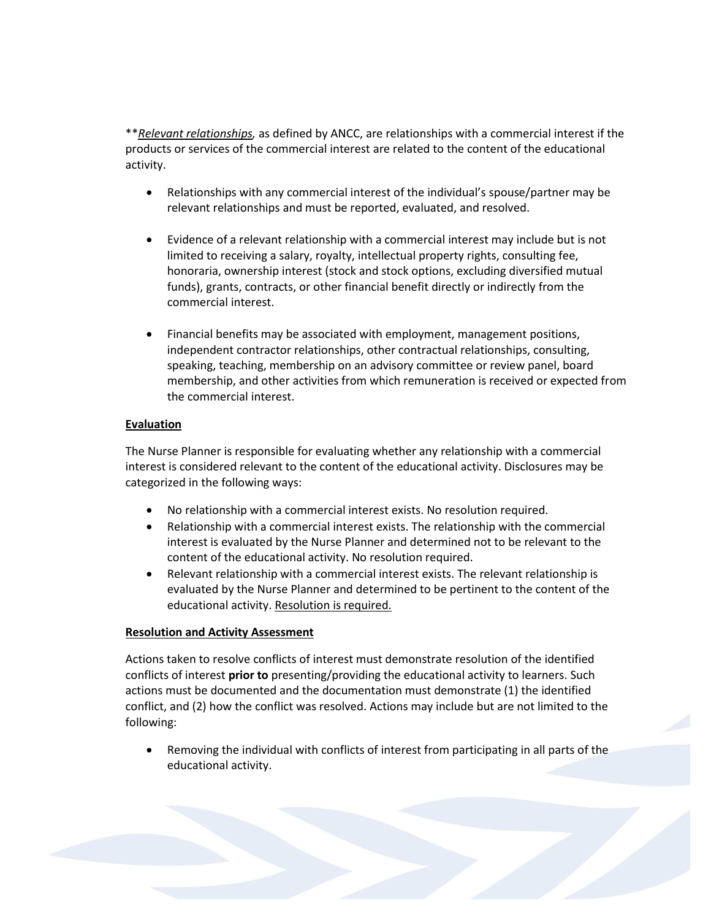\*\**Relevant relationships,* as defined by ANCC, are relationships with a commercial interest if the products or services of the commercial interest are related to the content of the educational activity.

- Relationships with any commercial interest of the individual's spouse/partner may be relevant relationships and must be reported, evaluated, and resolved.
- Evidence of a relevant relationship with a commercial interest may include but is not limited to receiving a salary, royalty, intellectual property rights, consulting fee, honoraria, ownership interest (stock and stock options, excluding diversified mutual funds), grants, contracts, or other financial benefit directly or indirectly from the commercial interest.
- Financial benefits may be associated with employment, management positions, independent contractor relationships, other contractual relationships, consulting, speaking, teaching, membership on an advisory committee or review panel, board membership, and other activities from which remuneration is received or expected from the commercial interest.

### **Evaluation**

The Nurse Planner is responsible for evaluating whether any relationship with a commercial interest is considered relevant to the content of the educational activity. Disclosures may be categorized in the following ways:

- No relationship with a commercial interest exists. No resolution required.
- Relationship with a commercial interest exists. The relationship with the commercial interest is evaluated by the Nurse Planner and determined not to be relevant to the content of the educational activity. No resolution required.
- Relevant relationship with a commercial interest exists. The relevant relationship is evaluated by the Nurse Planner and determined to be pertinent to the content of the educational activity. Resolution is required.

### **Resolution and Activity Assessment**

Actions taken to resolve conflicts of interest must demonstrate resolution of the identified conflicts of interest **prior to** presenting/providing the educational activity to learners. Such actions must be documented and the documentation must demonstrate (1) the identified conflict, and (2) how the conflict was resolved. Actions may include but are not limited to the following:

 Removing the individual with conflicts of interest from participating in all parts of the educational activity.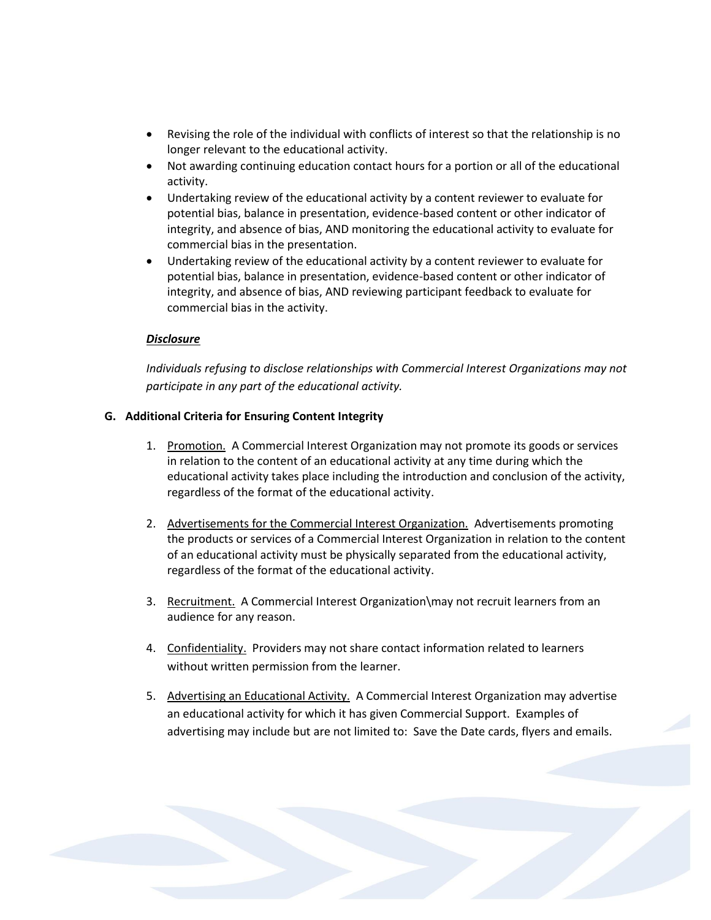- Revising the role of the individual with conflicts of interest so that the relationship is no longer relevant to the educational activity.
- Not awarding continuing education contact hours for a portion or all of the educational activity.
- Undertaking review of the educational activity by a content reviewer to evaluate for potential bias, balance in presentation, evidence-based content or other indicator of integrity, and absence of bias, AND monitoring the educational activity to evaluate for commercial bias in the presentation.
- Undertaking review of the educational activity by a content reviewer to evaluate for potential bias, balance in presentation, evidence-based content or other indicator of integrity, and absence of bias, AND reviewing participant feedback to evaluate for commercial bias in the activity.

### *Disclosure*

*Individuals refusing to disclose relationships with Commercial Interest Organizations may not participate in any part of the educational activity.*

#### **G. Additional Criteria for Ensuring Content Integrity**

- 1. Promotion. A Commercial Interest Organization may not promote its goods or services in relation to the content of an educational activity at any time during which the educational activity takes place including the introduction and conclusion of the activity, regardless of the format of the educational activity.
- 2. Advertisements for the Commercial Interest Organization. Advertisements promoting the products or services of a Commercial Interest Organization in relation to the content of an educational activity must be physically separated from the educational activity, regardless of the format of the educational activity.
- 3. Recruitment. A Commercial Interest Organization\may not recruit learners from an audience for any reason.
- 4. Confidentiality. Providers may not share contact information related to learners without written permission from the learner.
- 5. Advertising an Educational Activity. A Commercial Interest Organization may advertise an educational activity for which it has given Commercial Support. Examples of advertising may include but are not limited to: Save the Date cards, flyers and emails.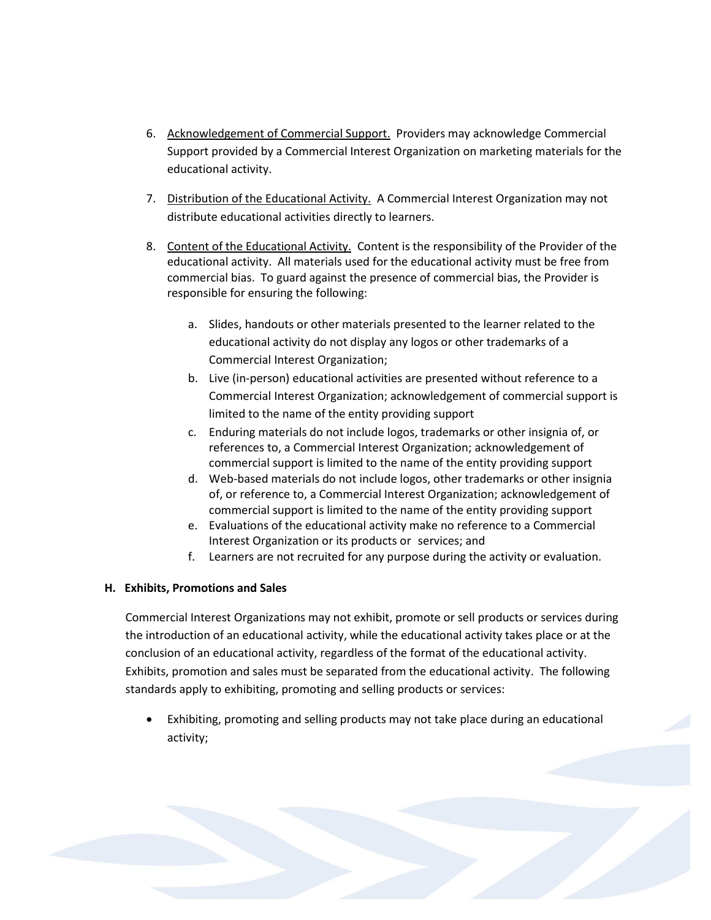- 6. Acknowledgement of Commercial Support. Providers may acknowledge Commercial Support provided by a Commercial Interest Organization on marketing materials for the educational activity.
- 7. Distribution of the Educational Activity. A Commercial Interest Organization may not distribute educational activities directly to learners.
- 8. Content of the Educational Activity. Content is the responsibility of the Provider of the educational activity. All materials used for the educational activity must be free from commercial bias. To guard against the presence of commercial bias, the Provider is responsible for ensuring the following:
	- a. Slides, handouts or other materials presented to the learner related to the educational activity do not display any logos or other trademarks of a Commercial Interest Organization;
	- b. Live (in-person) educational activities are presented without reference to a Commercial Interest Organization; acknowledgement of commercial support is limited to the name of the entity providing support
	- c. Enduring materials do not include logos, trademarks or other insignia of, or references to, a Commercial Interest Organization; acknowledgement of commercial support is limited to the name of the entity providing support
	- d. Web-based materials do not include logos, other trademarks or other insignia of, or reference to, a Commercial Interest Organization; acknowledgement of commercial support is limited to the name of the entity providing support
	- e. Evaluations of the educational activity make no reference to a Commercial Interest Organization or its products or services; and
	- f. Learners are not recruited for any purpose during the activity or evaluation.

## **H. Exhibits, Promotions and Sales**

Commercial Interest Organizations may not exhibit, promote or sell products or services during the introduction of an educational activity, while the educational activity takes place or at the conclusion of an educational activity, regardless of the format of the educational activity. Exhibits, promotion and sales must be separated from the educational activity. The following standards apply to exhibiting, promoting and selling products or services:

 Exhibiting, promoting and selling products may not take place during an educational activity;